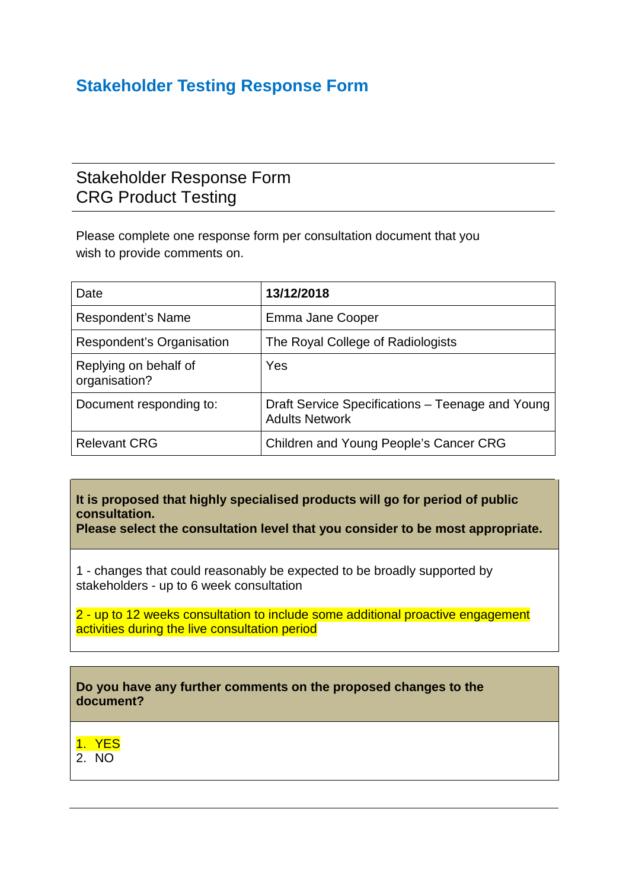## **Stakeholder Testing Response Form**

## Stakeholder Response Form CRG Product Testing

Please complete one response form per consultation document that you wish to provide comments on.

| Date                                   | 13/12/2018                                                                |
|----------------------------------------|---------------------------------------------------------------------------|
| Respondent's Name                      | Emma Jane Cooper                                                          |
| Respondent's Organisation              | The Royal College of Radiologists                                         |
| Replying on behalf of<br>organisation? | Yes                                                                       |
| Document responding to:                | Draft Service Specifications – Teenage and Young<br><b>Adults Network</b> |
| <b>Relevant CRG</b>                    | Children and Young People's Cancer CRG                                    |

**It is proposed that highly specialised products will go for period of public consultation.**

**Please select the consultation level that you consider to be most appropriate.**

1 - changes that could reasonably be expected to be broadly supported by stakeholders - up to 6 week consultation

2 - up to 12 weeks consultation to include some additional proactive engagement activities during the live consultation period



1. YES  $2^{\circ}$  NO